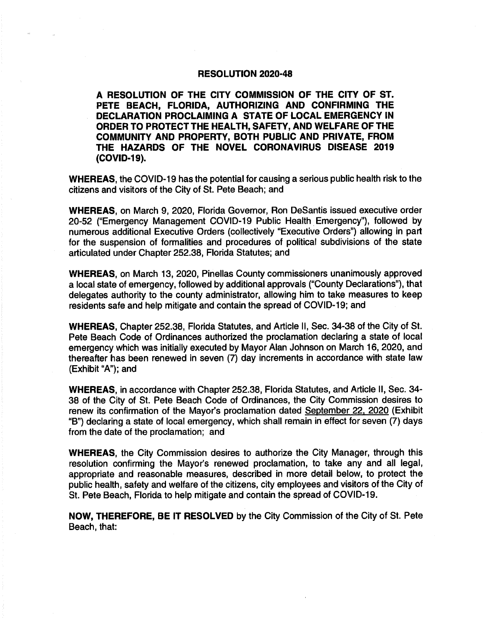## RESOLUTION 2020-48

A RESOLUTION OF THE CITY COMMISSION OF THE CITY OF ST. PETE BEACH, FLORIDA, AUTHORIZING AND CONFIRMING THE DECLARATION PROCLAIMING A STATE OF LOCAL EMERGENCY IN ORDER TO PROTECT THE HEALTH, SAFETY, AND WELFARE OF THE COMMUNITY AND PROPERTY, BOTH PUBLIC AND PRIVATE, FROM THE HAZARDS OF THE NOVEL CORONAVIRUS DISEASE 2019 (COVID-19).

WHEREAS, the COVID-19 has the potential for causing a serious public health risk to the citizens and visitors of the City of St. Pete Beach; and

WHEREAS, on March 9, 2020, Florida Governor, Ron DeSantis issued executive order 20-52 ("Emergency Management COVID-19 Public Health Emergency"), followed by numerous additional Executive Orders (collectively "Executive Orders") allowing in part for the suspension of formalities and procedures of political subdivisions of the state articulated under Chapter 252. 38, Florida Statutes; and

WHEREAS, on March 13, 2020, Pinellas County commissioners unanimously approved a local state of emergency, followed by additional approvals (" County Declarations"), that delegates authority to the county administrator, allowing him to take measures to keep residents safe and help mitigate and contain the spread of COVID- 19; and

WHEREAS, Chapter 252. 38, Florida Statutes, and Article 11, Sec. 34-38 of the City of St. Pete Beach Code of Ordinances authorized the proclamation declaring a state of local emergency which was initially executed by Mayor Alan Johnson on March 16, 2020, and thereafter has been renewed in seven (7) day increments in accordance with state law Exhibit "A"); and

WHEREAS, in accordance with Chapter 252. 38, Florida Statutes, and Article 11, Sec. 34- 38 of the City of St. Pete Beach Code of Ordinances, the City Commission desires to renew its confirmation of the Mayor's proclamation dated September 22, 2020 (Exhibit B") declaring a state of local emergency, which shall remain in effect for seven (7) days from the date of the proclamation; and

WHEREAS, the City Commission desires to authorize the City Manager, through this resolution confirming the Mayor's renewed proclamation, to take any and all legal, appropriate and reasonable measures, described in more detail below, to protect the public health, safety and welfare of the citizens, city employees and visitors of the City of St. Pete Beach, Florida to help mitigate and contain the spread of COVID- 19.

NOW, THEREFORE, BE IT RESOLVED by the City Commission of the City of St. Pete Beach, that: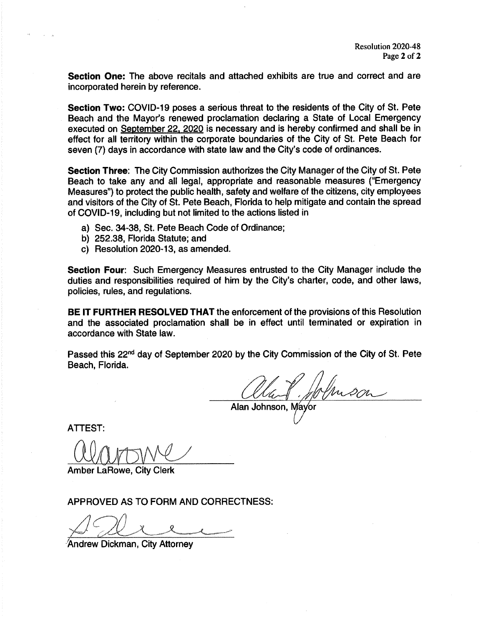Section One: The above recitals and attached exhibits are true and correct and are incorporated herein by reference.

Section Two: COVID-19 poses a serious threat to the residents of the City of St. Pete Beach and the Mayor's renewed proclamation declaring a State of Local Emergency executed on September 22. 2020 is necessary and is hereby confirmed and shall be in effect for all territory within the corporate boundaries of the City of St. Pete Beach for seven (7) days in accordance with state law and the City's code of ordinances.

Section Three: The City Commission authorizes the City Manager of the City of St. Pete Beach to take any and all legal, appropriate and reasonable measures ("Emergency Measures") to protect the public health, safety and welfare of the citizens, city employees and visitors of the City of St. Pete Beach, Florida to help mitigate and contain the spread of COVID-19, including but not limited to the actions listed in

- a) Sec. 34-38, St. Pete Beach Code of Ordinance;
- b) 252. 38, Florida Statute; and
- c) Resolution 2020- 13, as amended.

Section Four: Such Emergency Measures entrusted to the City Manager include the duties and responsibilities required of him by the City's charter, code, and other laws, policies, rules, and regulations.

BE IT FURTHER RESOLVED THAT the enforcement of the provisions of this Resolution and the associated proclamation shall be in effect until terminated or expiration in accordance with State law.

Passed this 22nd day of September 2020 by the City Commission of the City of St. Pete Beach, Florida.

Alan Johnson, Mayo

ATTEST:

Amber LaRowe, City Clerk

APPROVED AS TO FORM AND CORRECTNESS:

Andrew Dickman, City Attorney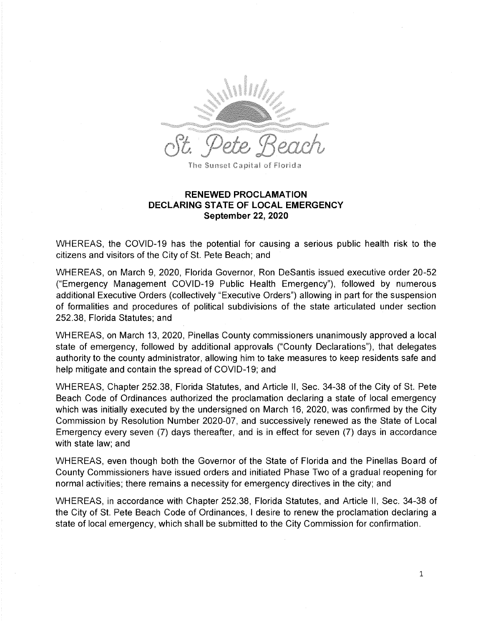

## RENEWED PROCLAMATION DECLARING STATE OF LOCAL EMERGENCY September 22, 2020

WHEREAS, the COVID-19 has the potential for causing a serious public health risk to the citizens and visitors of the City of St. Pete Beach; and

WHEREAS, on March 9, 2020, Florida Governor, Ron DeSantis issued executive order 20-52 Emergency Management COVID- 19 Public Health Emergency"), followed by numerous additional Executive Orders (collectively "Executive Orders") allowing in part for the suspension of formalities and procedures of political subdivisions of the state articulated under section 252. 38, Florida Statutes; and

WHEREAS, on March 13, 2020, Pinellas County commissioners unanimously approved a local state of emergency, followed by additional approvals ("County Declarations"), that delegates authority to the county administrator, allowing him to take measures to keep residents safe and help mitigate and contain the spread of COVID-19; and

WHEREAS, Chapter 252. 38, Florida Statutes, and Article II, Sec. 34- 38 of the City of St. Pete Beach Code of Ordinances authorized the proclamation declaring a state of local emergency which was initially executed by the undersigned on March 16, 2020, was confirmed by the City Commission by Resolution Number 2020-07, and successively renewed as the State of Local Emergency every seven (7) days thereafter, and is in effect for seven (7) days in accordance with state law; and

WHEREAS, even though both the Governor of the State of Florida and the Pinellas Board of County Commissioners have issued orders and initiated Phase Two of a gradual reopening for normal activities; there remains a necessity for emergency directives in the city; and

WHEREAS, in accordance with Chapter 252.38, Florida Statutes, and Article II, Sec. 34-38 of the City of St. Pete Beach Code of Ordinances, I desire to renew the proclamation declaring a state of local emergency, which shall be submitted to the City Commission for confirmation.